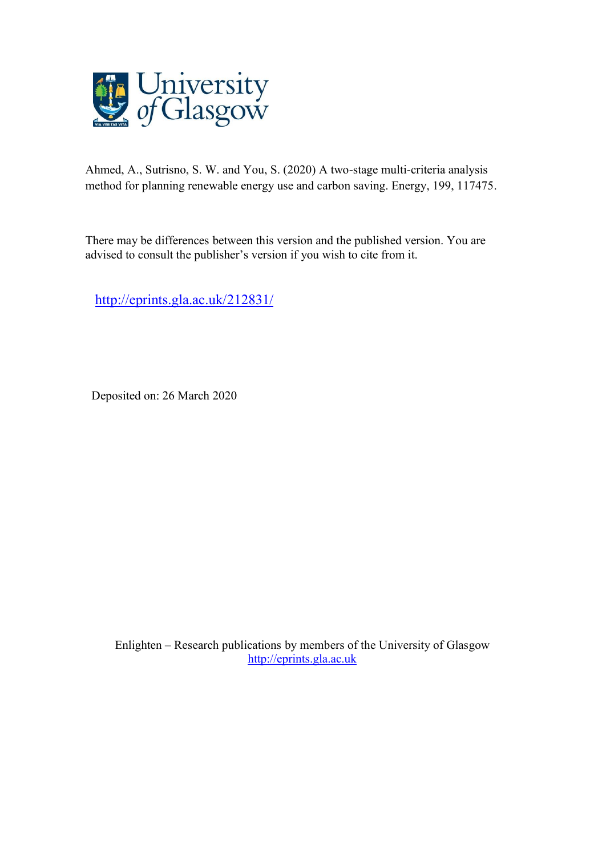

Ahmed, A., Sutrisno, S. W. and You, S. (2020) A two-stage multi-criteria analysis method for planning renewable energy use and carbon saving. Energy, 199, 117475.

There may be differences between this version and the published version. You are advised to consult the publisher's version if you wish to cite from it.

<http://eprints.gla.ac.uk/212831/>

Deposited on: 26 March 2020

Enlighten – Research publications by members of the University of Glasgow [http://eprints.gla.ac.uk](http://eprints.gla.ac.uk/)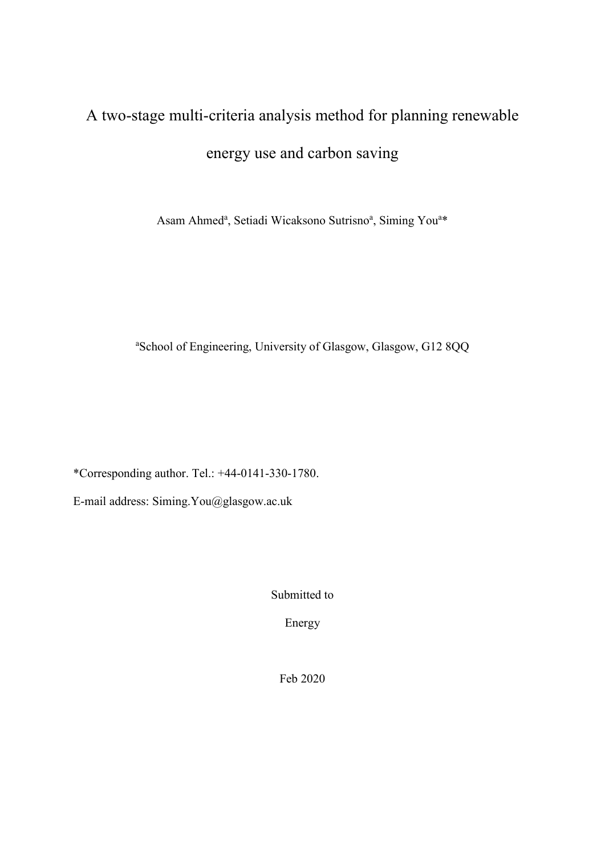# A two-stage multi-criteria analysis method for planning renewable energy use and carbon saving

Asam Ahmed<sup>a</sup>, Setiadi Wicaksono Sutrisno<sup>a</sup>, Siming You<sup>a\*</sup>

a School of Engineering, University of Glasgow, Glasgow, G12 8QQ

\*Corresponding author. Tel.: +44-0141-330-1780.

E-mail address: Siming.You@glasgow.ac.uk

Submitted to

Energy

Feb 2020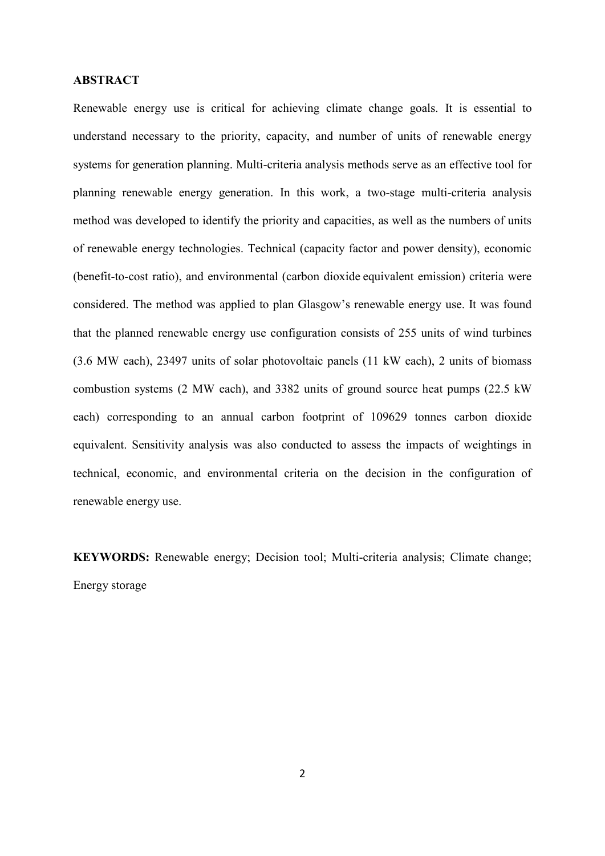#### **ABSTRACT**

Renewable energy use is critical for achieving climate change goals. It is essential to understand necessary to the priority, capacity, and number of units of renewable energy systems for generation planning. Multi-criteria analysis methods serve as an effective tool for planning renewable energy generation. In this work, a two-stage multi-criteria analysis method was developed to identify the priority and capacities, as well as the numbers of units of renewable energy technologies. Technical (capacity factor and power density), economic (benefit-to-cost ratio), and environmental (carbon dioxide equivalent emission) criteria were considered. The method was applied to plan Glasgow's renewable energy use. It was found that the planned renewable energy use configuration consists of 255 units of wind turbines (3.6 MW each), 23497 units of solar photovoltaic panels (11 kW each), 2 units of biomass combustion systems (2 MW each), and 3382 units of ground source heat pumps (22.5 kW each) corresponding to an annual carbon footprint of 109629 tonnes carbon dioxide equivalent. Sensitivity analysis was also conducted to assess the impacts of weightings in technical, economic, and environmental criteria on the decision in the configuration of renewable energy use.

**KEYWORDS:** Renewable energy; Decision tool; Multi-criteria analysis; Climate change; Energy storage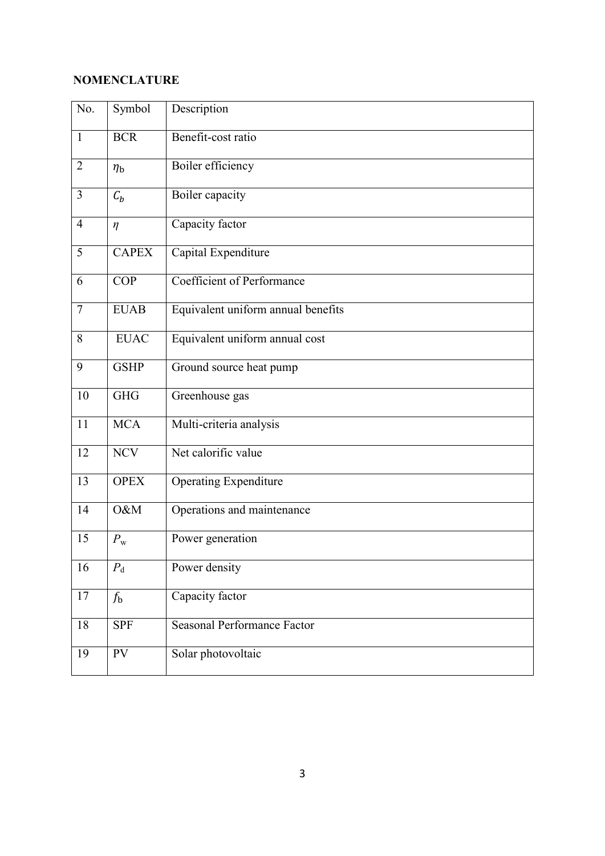## **NOMENCLATURE**

| No.            | Symbol         | Description                        |
|----------------|----------------|------------------------------------|
| $\mathbf{1}$   | <b>BCR</b>     | Benefit-cost ratio                 |
| $\overline{2}$ | $\eta_{\rm b}$ | Boiler efficiency                  |
| 3              | $C_b$          | Boiler capacity                    |
| $\overline{4}$ | $\eta$         | Capacity factor                    |
| 5              | <b>CAPEX</b>   | Capital Expenditure                |
| 6              | <b>COP</b>     | Coefficient of Performance         |
| $\overline{7}$ | <b>EUAB</b>    | Equivalent uniform annual benefits |
| 8              | <b>EUAC</b>    | Equivalent uniform annual cost     |
| 9              | <b>GSHP</b>    | Ground source heat pump            |
| 10             | <b>GHG</b>     | Greenhouse gas                     |
| 11             | <b>MCA</b>     | Multi-criteria analysis            |
| 12             | <b>NCV</b>     | Net calorific value                |
| 13             | <b>OPEX</b>    | Operating Expenditure              |
| 14             | O&M            | Operations and maintenance         |
| 15             | $P_{\rm w}$    | Power generation                   |
| 16             | $P_{d}$        | Power density                      |
| 17             | $f_{\rm b}$    | Capacity factor                    |
| 18             | <b>SPF</b>     | Seasonal Performance Factor        |
| 19             | PV             | Solar photovoltaic                 |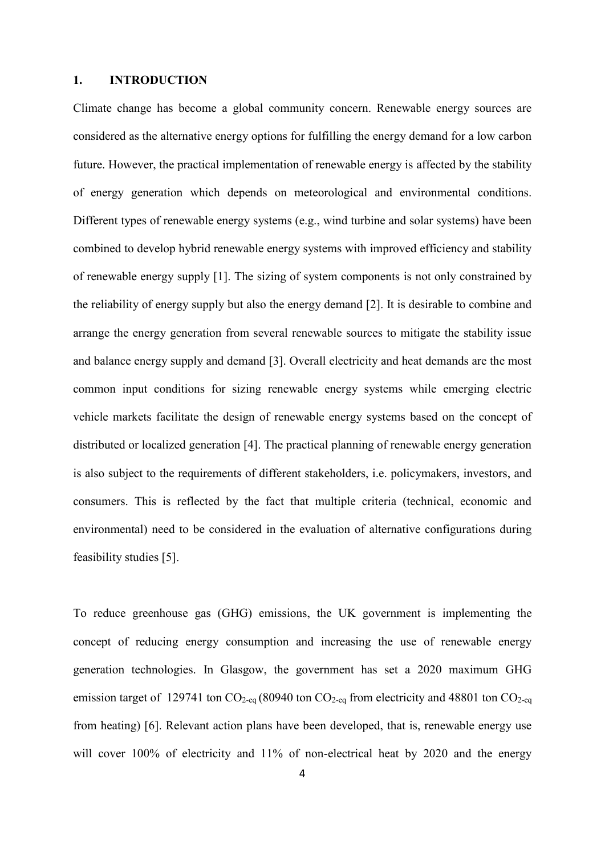#### **1. INTRODUCTION**

Climate change has become a global community concern. Renewable energy sources are considered as the alternative energy options for fulfilling the energy demand for a low carbon future. However, the practical implementation of renewable energy is affected by the stability of energy generation which depends on meteorological and environmental conditions. Different types of renewable energy systems (e.g., wind turbine and solar systems) have been combined to develop hybrid renewable energy systems with improved efficiency and stability of renewable energy supply [1]. The sizing of system components is not only constrained by the reliability of energy supply but also the energy demand [2]. It is desirable to combine and arrange the energy generation from several renewable sources to mitigate the stability issue and balance energy supply and demand [3]. Overall electricity and heat demands are the most common input conditions for sizing renewable energy systems while emerging electric vehicle markets facilitate the design of renewable energy systems based on the concept of distributed or localized generation [4]. The practical planning of renewable energy generation is also subject to the requirements of different stakeholders, i.e. policymakers, investors, and consumers. This is reflected by the fact that multiple criteria (technical, economic and environmental) need to be considered in the evaluation of alternative configurations during feasibility studies [5].

To reduce greenhouse gas (GHG) emissions, the UK government is implementing the concept of reducing energy consumption and increasing the use of renewable energy generation technologies. In Glasgow, the government has set a 2020 maximum GHG emission target of 129741 ton  $CO<sub>2-eq</sub>$  (80940 ton  $CO<sub>2-eq</sub>$  from electricity and 48801 ton  $CO<sub>2-eq</sub>$ from heating) [6]. Relevant action plans have been developed, that is, renewable energy use will cover 100% of electricity and 11% of non-electrical heat by 2020 and the energy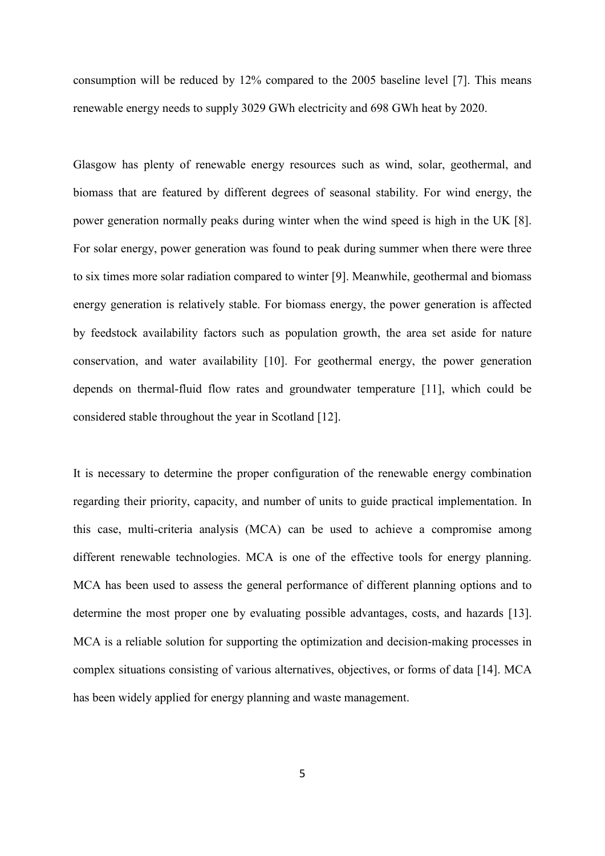consumption will be reduced by 12% compared to the 2005 baseline level [7]. This means renewable energy needs to supply 3029 GWh electricity and 698 GWh heat by 2020.

Glasgow has plenty of renewable energy resources such as wind, solar, geothermal, and biomass that are featured by different degrees of seasonal stability. For wind energy, the power generation normally peaks during winter when the wind speed is high in the UK [8]. For solar energy, power generation was found to peak during summer when there were three to six times more solar radiation compared to winter [9]. Meanwhile, geothermal and biomass energy generation is relatively stable. For biomass energy, the power generation is affected by feedstock availability factors such as population growth, the area set aside for nature conservation, and water availability [10]. For geothermal energy, the power generation depends on thermal-fluid flow rates and groundwater temperature [11], which could be considered stable throughout the year in Scotland [12].

It is necessary to determine the proper configuration of the renewable energy combination regarding their priority, capacity, and number of units to guide practical implementation. In this case, multi-criteria analysis (MCA) can be used to achieve a compromise among different renewable technologies. MCA is one of the effective tools for energy planning. MCA has been used to assess the general performance of different planning options and to determine the most proper one by evaluating possible advantages, costs, and hazards [13]. MCA is a reliable solution for supporting the optimization and decision-making processes in complex situations consisting of various alternatives, objectives, or forms of data [14]. MCA has been widely applied for energy planning and waste management.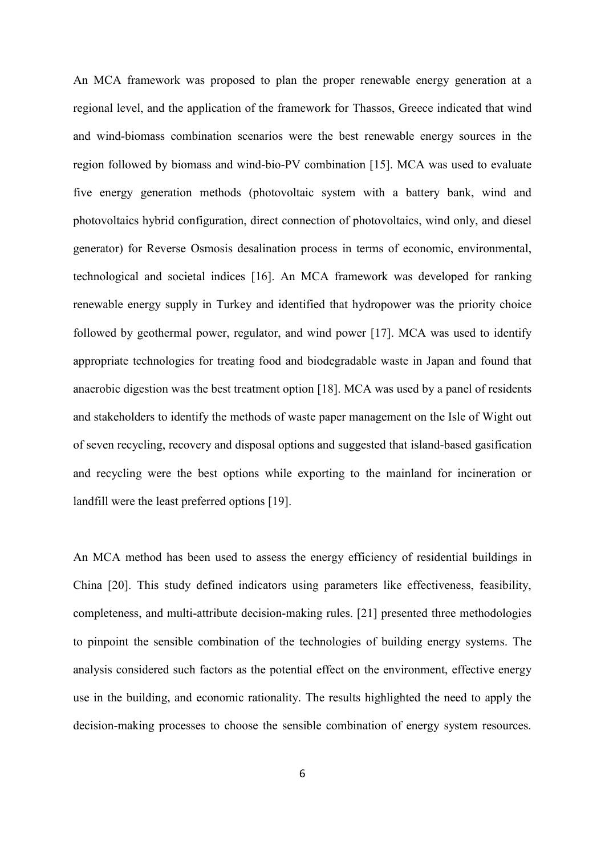An MCA framework was proposed to plan the proper renewable energy generation at a regional level, and the application of the framework for Thassos, Greece indicated that wind and wind-biomass combination scenarios were the best renewable energy sources in the region followed by biomass and wind-bio-PV combination [15]. MCA was used to evaluate five energy generation methods (photovoltaic system with a battery bank, wind and photovoltaics hybrid configuration, direct connection of photovoltaics, wind only, and diesel generator) for Reverse Osmosis desalination process in terms of economic, environmental, technological and societal indices [16]. An MCA framework was developed for ranking renewable energy supply in Turkey and identified that hydropower was the priority choice followed by geothermal power, regulator, and wind power [17]. MCA was used to identify appropriate technologies for treating food and biodegradable waste in Japan and found that anaerobic digestion was the best treatment option [18]. MCA was used by a panel of residents and stakeholders to identify the methods of waste paper management on the Isle of Wight out of seven recycling, recovery and disposal options and suggested that island-based gasification and recycling were the best options while exporting to the mainland for incineration or landfill were the least preferred options [19].

An MCA method has been used to assess the energy efficiency of residential buildings in China [20]. This study defined indicators using parameters like effectiveness, feasibility, completeness, and multi-attribute decision-making rules. [21] presented three methodologies to pinpoint the sensible combination of the technologies of building energy systems. The analysis considered such factors as the potential effect on the environment, effective energy use in the building, and economic rationality. The results highlighted the need to apply the decision-making processes to choose the sensible combination of energy system resources.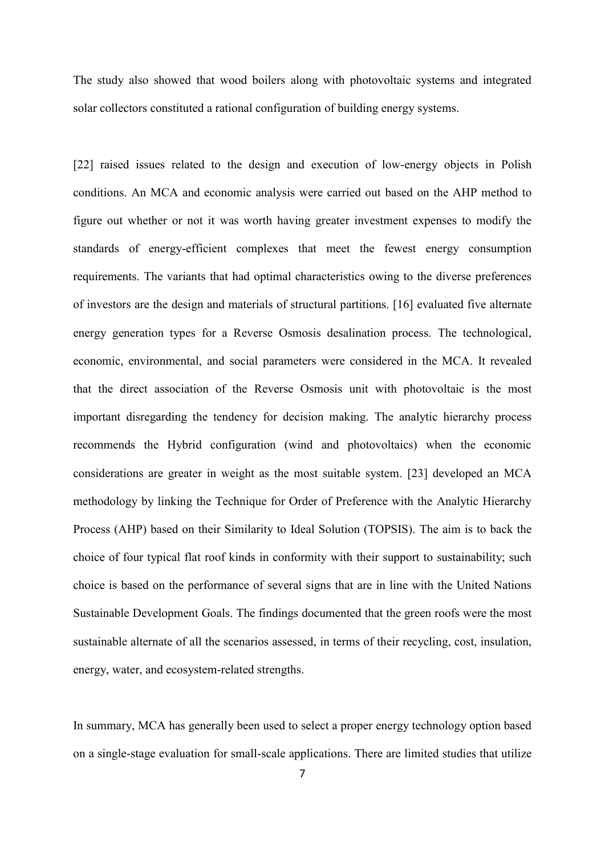The study also showed that wood boilers along with photovoltaic systems and integrated solar collectors constituted a rational configuration of building energy systems.

[22] raised issues related to the design and execution of low-energy objects in Polish conditions. An MCA and economic analysis were carried out based on the AHP method to figure out whether or not it was worth having greater investment expenses to modify the standards of energy-efficient complexes that meet the fewest energy consumption requirements. The variants that had optimal characteristics owing to the diverse preferences of investors are the design and materials of structural partitions. [16] evaluated five alternate energy generation types for a Reverse Osmosis desalination process. The technological, economic, environmental, and social parameters were considered in the MCA. It revealed that the direct association of the Reverse Osmosis unit with photovoltaic is the most important disregarding the tendency for decision making. The analytic hierarchy process recommends the Hybrid configuration (wind and photovoltaics) when the economic considerations are greater in weight as the most suitable system. [23] developed an MCA methodology by linking the Technique for Order of Preference with the Analytic Hierarchy Process (AHP) based on their Similarity to Ideal Solution (TOPSIS). The aim is to back the choice of four typical flat roof kinds in conformity with their support to sustainability; such choice is based on the performance of several signs that are in line with the United Nations Sustainable Development Goals. The findings documented that the green roofs were the most sustainable alternate of all the scenarios assessed, in terms of their recycling, cost, insulation, energy, water, and ecosystem-related strengths.

In summary, MCA has generally been used to select a proper energy technology option based on a single-stage evaluation for small-scale applications. There are limited studies that utilize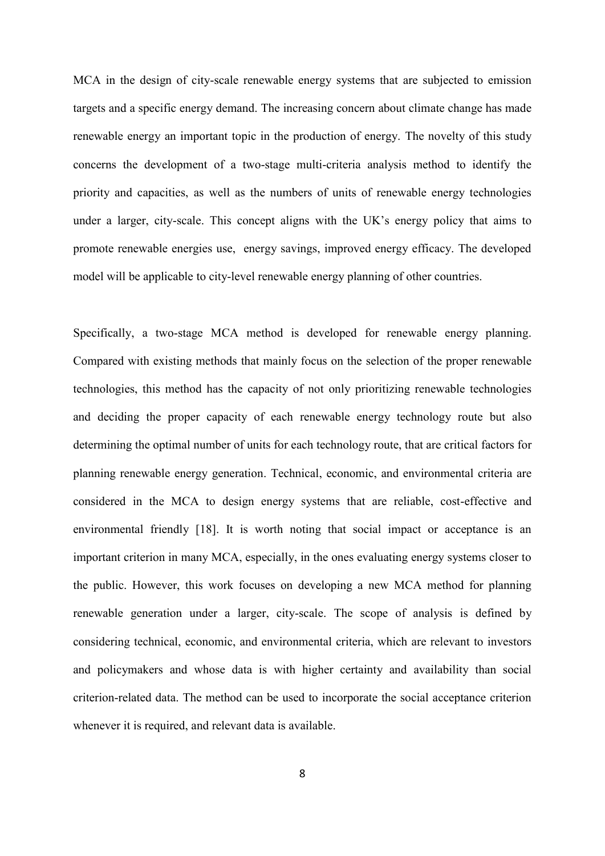MCA in the design of city-scale renewable energy systems that are subjected to emission targets and a specific energy demand. The increasing concern about climate change has made renewable energy an important topic in the production of energy. The novelty of this study concerns the development of a two-stage multi-criteria analysis method to identify the priority and capacities, as well as the numbers of units of renewable energy technologies under a larger, city-scale. This concept aligns with the UK's energy policy that aims to promote renewable energies use, energy savings, improved energy efficacy. The developed model will be applicable to city-level renewable energy planning of other countries.

Specifically, a two-stage MCA method is developed for renewable energy planning. Compared with existing methods that mainly focus on the selection of the proper renewable technologies, this method has the capacity of not only prioritizing renewable technologies and deciding the proper capacity of each renewable energy technology route but also determining the optimal number of units for each technology route, that are critical factors for planning renewable energy generation. Technical, economic, and environmental criteria are considered in the MCA to design energy systems that are reliable, cost-effective and environmental friendly [18]. It is worth noting that social impact or acceptance is an important criterion in many MCA, especially, in the ones evaluating energy systems closer to the public. However, this work focuses on developing a new MCA method for planning renewable generation under a larger, city-scale. The scope of analysis is defined by considering technical, economic, and environmental criteria, which are relevant to investors and policymakers and whose data is with higher certainty and availability than social criterion-related data. The method can be used to incorporate the social acceptance criterion whenever it is required, and relevant data is available.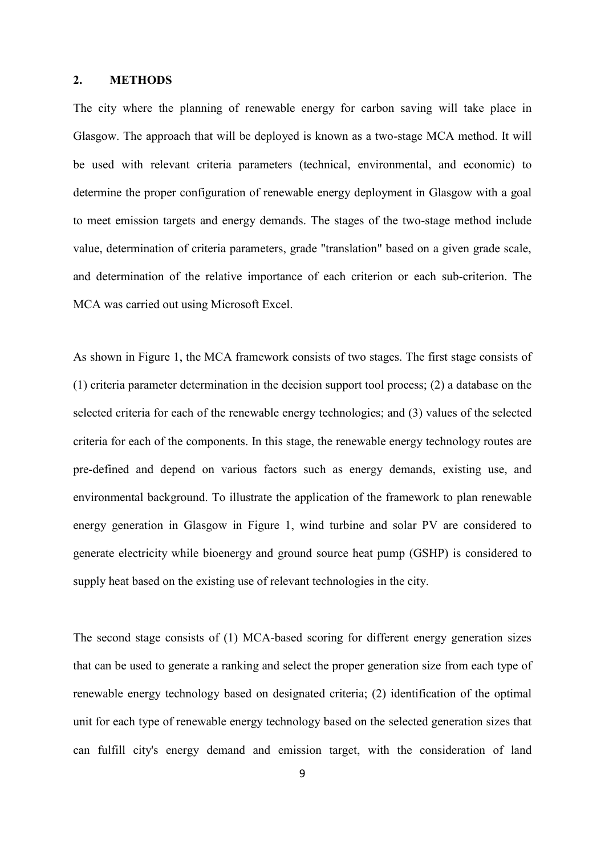#### **2. METHODS**

The city where the planning of renewable energy for carbon saving will take place in Glasgow. The approach that will be deployed is known as a two-stage MCA method. It will be used with relevant criteria parameters (technical, environmental, and economic) to determine the proper configuration of renewable energy deployment in Glasgow with a goal to meet emission targets and energy demands. The stages of the two-stage method include value, determination of criteria parameters, grade "translation" based on a given grade scale, and determination of the relative importance of each criterion or each sub-criterion. The MCA was carried out using Microsoft Excel.

As shown in Figure 1, the MCA framework consists of two stages. The first stage consists of (1) criteria parameter determination in the decision support tool process; (2) a database on the selected criteria for each of the renewable energy technologies; and (3) values of the selected criteria for each of the components. In this stage, the renewable energy technology routes are pre-defined and depend on various factors such as energy demands, existing use, and environmental background. To illustrate the application of the framework to plan renewable energy generation in Glasgow in Figure 1, wind turbine and solar PV are considered to generate electricity while bioenergy and ground source heat pump (GSHP) is considered to supply heat based on the existing use of relevant technologies in the city.

The second stage consists of (1) MCA-based scoring for different energy generation sizes that can be used to generate a ranking and select the proper generation size from each type of renewable energy technology based on designated criteria; (2) identification of the optimal unit for each type of renewable energy technology based on the selected generation sizes that can fulfill city's energy demand and emission target, with the consideration of land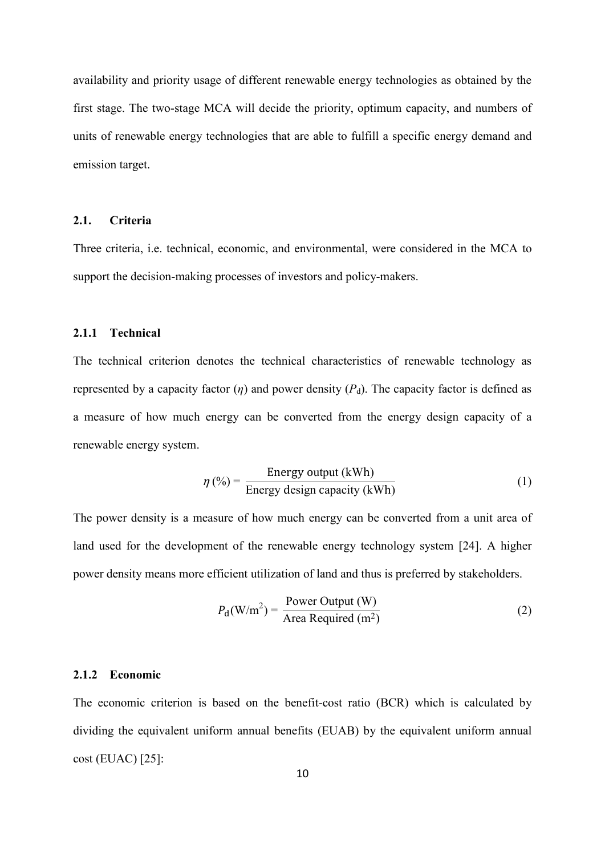availability and priority usage of different renewable energy technologies as obtained by the first stage. The two-stage MCA will decide the priority, optimum capacity, and numbers of units of renewable energy technologies that are able to fulfill a specific energy demand and emission target.

## **2.1. Criteria**

Three criteria, i.e. technical, economic, and environmental, were considered in the MCA to support the decision-making processes of investors and policy-makers.

## **2.1.1 Technical**

The technical criterion denotes the technical characteristics of renewable technology as represented by a capacity factor  $(\eta)$  and power density  $(P_d)$ . The capacity factor is defined as a measure of how much energy can be converted from the energy design capacity of a renewable energy system.

$$
\eta\left(\%\right) = \frac{\text{Energy output (kWh)}}{\text{Energy design capacity (kWh)}}
$$
\n(1)

The power density is a measure of how much energy can be converted from a unit area of land used for the development of the renewable energy technology system [24]. A higher power density means more efficient utilization of land and thus is preferred by stakeholders.

$$
P_{\rm d}(\text{W/m}^2) = \frac{\text{Power Output (W)}}{\text{Area Required (m}^2)}
$$
 (2)

#### **2.1.2 Economic**

The economic criterion is based on the benefit-cost ratio (BCR) which is calculated by dividing the equivalent uniform annual benefits (EUAB) by the equivalent uniform annual cost (EUAC) [25]: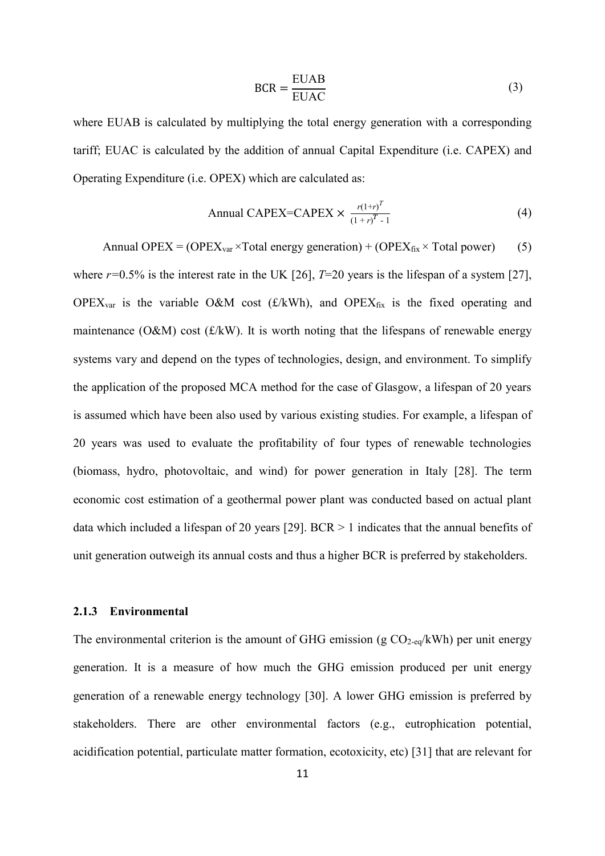$$
BCR = \frac{EUAB}{EUAC}
$$
 (3)

where EUAB is calculated by multiplying the total energy generation with a corresponding tariff; EUAC is calculated by the addition of annual Capital Expenditure (i.e. CAPEX) and Operating Expenditure (i.e. OPEX) which are calculated as:

$$
\text{Annual CAPEX=CAPEX} \times \frac{r(1+r)^{T}}{(1+r)^{T}-1} \tag{4}
$$

Annual OPEX = (OPEX<sub>var</sub> × Total energy generation) + (OPEX<sub>fix</sub> × Total power) (5) where  $r=0.5\%$  is the interest rate in the UK [26],  $T=20$  years is the lifespan of a system [27], OPEX<sub>var</sub> is the variable O&M cost ( $\pounds$ /kWh), and OPEX<sub>fix</sub> is the fixed operating and maintenance ( $O&M$ ) cost ( $f/kW$ ). It is worth noting that the lifespans of renewable energy systems vary and depend on the types of technologies, design, and environment. To simplify the application of the proposed MCA method for the case of Glasgow, a lifespan of 20 years is assumed which have been also used by various existing studies. For example, a lifespan of 20 years was used to evaluate the profitability of four types of renewable technologies (biomass, hydro, photovoltaic, and wind) for power generation in Italy [28]. The term economic cost estimation of a geothermal power plant was conducted based on actual plant data which included a lifespan of 20 years [29]. BCR > 1 indicates that the annual benefits of unit generation outweigh its annual costs and thus a higher BCR is preferred by stakeholders.

## **2.1.3 Environmental**

The environmental criterion is the amount of GHG emission (g  $CO_{2-\text{eq}}/kWh$ ) per unit energy generation. It is a measure of how much the GHG emission produced per unit energy generation of a renewable energy technology [30]. A lower GHG emission is preferred by stakeholders. There are other environmental factors (e.g., eutrophication potential, acidification potential, particulate matter formation, ecotoxicity, etc) [31] that are relevant for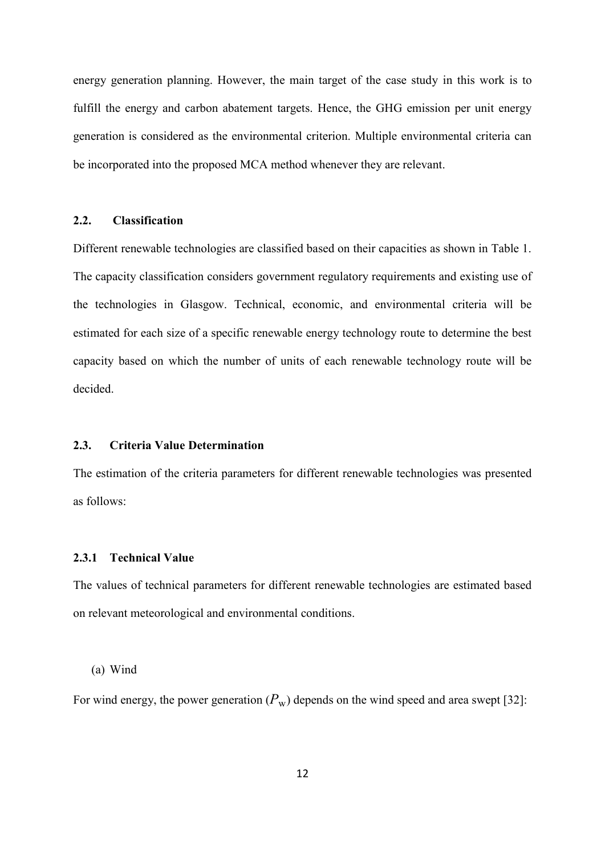energy generation planning. However, the main target of the case study in this work is to fulfill the energy and carbon abatement targets. Hence, the GHG emission per unit energy generation is considered as the environmental criterion. Multiple environmental criteria can be incorporated into the proposed MCA method whenever they are relevant.

## **2.2. Classification**

Different renewable technologies are classified based on their capacities as shown in Table 1. The capacity classification considers government regulatory requirements and existing use of the technologies in Glasgow. Technical, economic, and environmental criteria will be estimated for each size of a specific renewable energy technology route to determine the best capacity based on which the number of units of each renewable technology route will be decided.

## **2.3. Criteria Value Determination**

The estimation of the criteria parameters for different renewable technologies was presented as follows:

#### **2.3.1 Technical Value**

The values of technical parameters for different renewable technologies are estimated based on relevant meteorological and environmental conditions.

#### (a) Wind

For wind energy, the power generation  $(P_w)$  depends on the wind speed and area swept [32]: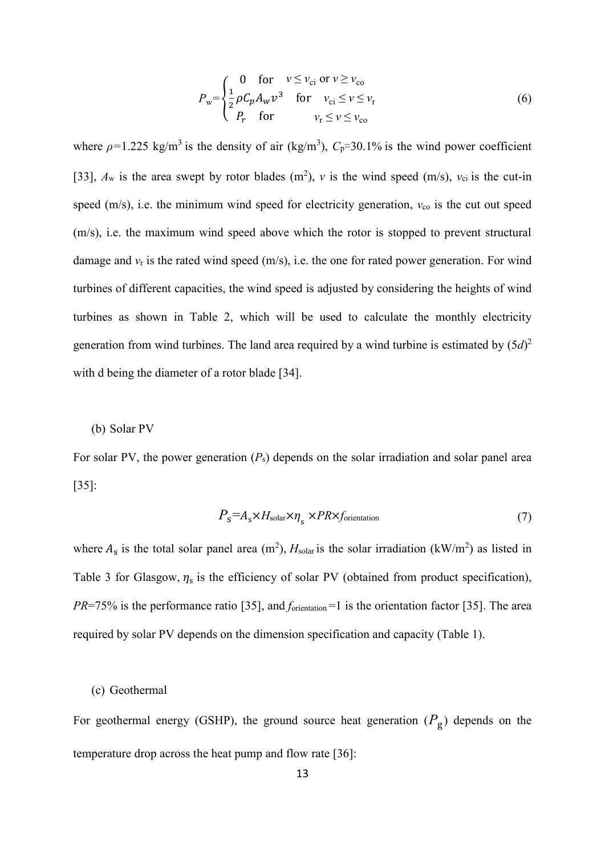$$
P_{\rm w} = \begin{cases} 0 & \text{for} \quad v \le v_{\rm ci} \text{ or } v \ge v_{\rm co} \\ \frac{1}{2} \rho C_p A_w v^3 & \text{for} \quad v_{\rm ci} \le v \le v_{\rm r} \\ P_r & \text{for} \quad v_{\rm r} \le v \le v_{\rm co} \end{cases} \tag{6}
$$

where  $\rho$ =1.225 kg/m<sup>3</sup> is the density of air (kg/m<sup>3</sup>),  $C_p$ =30.1% is the wind power coefficient [33],  $A_w$  is the area swept by rotor blades  $(m^2)$ , *v* is the wind speed  $(m/s)$ ,  $v_{ci}$  is the cut-in speed (m/s), i.e. the minimum wind speed for electricity generation,  $v_{\rm co}$  is the cut out speed (m/s), i.e. the maximum wind speed above which the rotor is stopped to prevent structural damage and  $v_r$  is the rated wind speed  $(m/s)$ , i.e. the one for rated power generation. For wind turbines of different capacities, the wind speed is adjusted by considering the heights of wind turbines as shown in Table 2, which will be used to calculate the monthly electricity generation from wind turbines. The land area required by a wind turbine is estimated by  $(5d)^2$ with d being the diameter of a rotor blade [34].

(b) Solar PV

For solar PV, the power generation (*P*s) depends on the solar irradiation and solar panel area [35]:

$$
P_{\rm s} = A_{\rm s} \times H_{\rm solar} \times \eta_{\rm s} \times PR \times f_{\rm orientation} \tag{7}
$$

where  $A_s$  is the total solar panel area (m<sup>2</sup>),  $H_{solar}$  is the solar irradiation (kW/m<sup>2</sup>) as listed in Table 3 for Glasgow,  $\eta_s$  is the efficiency of solar PV (obtained from product specification), *PR*=75% is the performance ratio [35], and *f*<sub>orientation</sub> =1 is the orientation factor [35]. The area required by solar PV depends on the dimension specification and capacity (Table 1).

#### (c) Geothermal

For geothermal energy (GSHP), the ground source heat generation  $(P_g)$  depends on the temperature drop across the heat pump and flow rate [36]: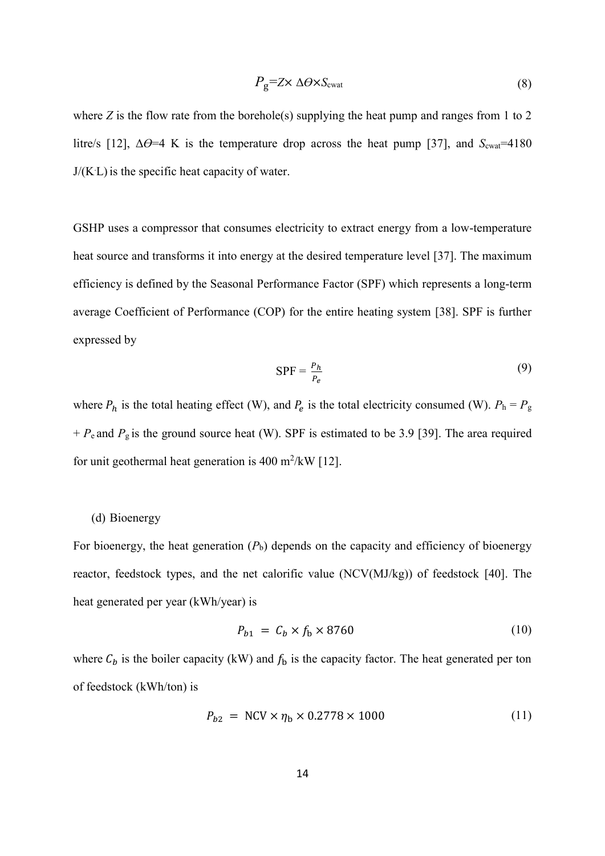$$
P_{\rm g} = Z \times \Delta \Theta \times S_{\rm cvat} \tag{8}
$$

where *Z* is the flow rate from the borehole(s) supplying the heat pump and ranges from 1 to 2 litre/s [12],  $\Delta\Theta$ =4 K is the temperature drop across the heat pump [37], and  $S_{\text{cwa}t}$ =4180 J/(K. L) is the specific heat capacity of water.

GSHP uses a compressor that consumes electricity to extract energy from a low-temperature heat source and transforms it into energy at the desired temperature level [37]. The maximum efficiency is defined by the Seasonal Performance Factor (SPF) which represents a long-term average Coefficient of Performance (COP) for the entire heating system [38]. SPF is further expressed by

$$
SPF = \frac{P_h}{P_e} \tag{9}
$$

where  $P_h$  is the total heating effect (W), and  $P_e$  is the total electricity consumed (W).  $P_h = P_g$ + *P*e and *P*g is the ground source heat (W). SPF is estimated to be 3.9 [39]. The area required for unit geothermal heat generation is  $400 \text{ m}^2/\text{kW}$  [12].

#### (d) Bioenergy

For bioenergy, the heat generation  $(P_b)$  depends on the capacity and efficiency of bioenergy reactor, feedstock types, and the net calorific value (NCV(MJ/kg)) of feedstock [40]. The heat generated per year (kWh/year) is

$$
P_{b1} = C_b \times f_b \times 8760 \tag{10}
$$

where  $C_b$  is the boiler capacity (kW) and  $f_b$  is the capacity factor. The heat generated per ton of feedstock (kWh/ton) is

$$
P_{b2} = NCV \times \eta_b \times 0.2778 \times 1000
$$
 (11)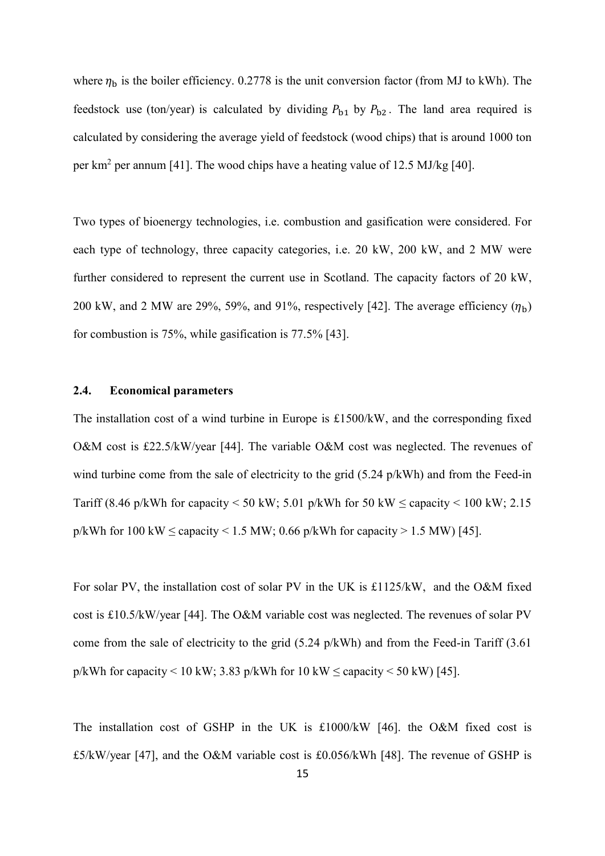where  $\eta_b$  is the boiler efficiency. 0.2778 is the unit conversion factor (from MJ to kWh). The feedstock use (ton/year) is calculated by dividing  $P_{b1}$  by  $P_{b2}$ . The land area required is calculated by considering the average yield of feedstock (wood chips) that is around 1000 ton per km<sup>2</sup> per annum [41]. The wood chips have a heating value of 12.5 MJ/kg [40].

Two types of bioenergy technologies, i.e. combustion and gasification were considered. For each type of technology, three capacity categories, i.e. 20 kW, 200 kW, and 2 MW were further considered to represent the current use in Scotland. The capacity factors of 20 kW, 200 kW, and 2 MW are 29%, 59%, and 91%, respectively [42]. The average efficiency  $(\eta_h)$ for combustion is 75%, while gasification is 77.5% [43].

#### **2.4. Economical parameters**

The installation cost of a wind turbine in Europe is £1500/kW, and the corresponding fixed O&M cost is £22.5/kW/year [44]. The variable O&M cost was neglected. The revenues of wind turbine come from the sale of electricity to the grid (5.24 p/kWh) and from the Feed-in Tariff (8.46 p/kWh for capacity  $\leq$  50 kW; 5.01 p/kWh for 50 kW  $\leq$  capacity  $\leq$  100 kW; 2.15 p/kWh for 100 kW  $\leq$  capacity  $\leq$  1.5 MW; 0.66 p/kWh for capacity  $>$  1.5 MW) [45].

For solar PV, the installation cost of solar PV in the UK is £1125/kW, and the O&M fixed cost is £10.5/kW/year [44]. The O&M variable cost was neglected. The revenues of solar PV come from the sale of electricity to the grid (5.24 p/kWh) and from the Feed-in Tariff (3.61 p/kWh for capacity < 10 kW; 3.83 p/kWh for 10 kW  $\leq$  capacity < 50 kW) [45].

The installation cost of GSHP in the UK is £1000/kW [46]. the O&M fixed cost is £5/kW/year [47], and the O&M variable cost is £0.056/kWh [48]. The revenue of GSHP is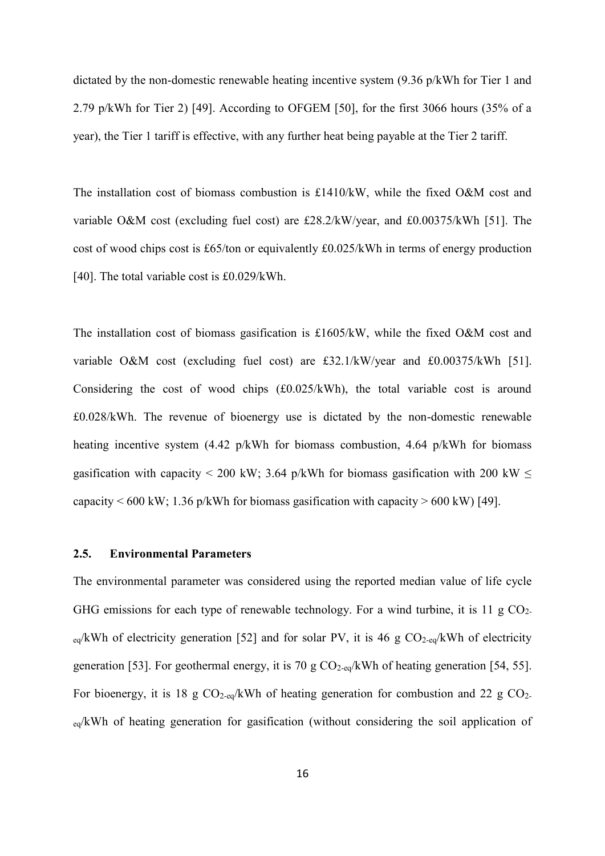dictated by the non-domestic renewable heating incentive system (9.36 p/kWh for Tier 1 and 2.79 p/kWh for Tier 2) [49]. According to OFGEM [50], for the first 3066 hours (35% of a year), the Tier 1 tariff is effective, with any further heat being payable at the Tier 2 tariff.

The installation cost of biomass combustion is £1410/kW, while the fixed O&M cost and variable O&M cost (excluding fuel cost) are £28.2/kW/year, and £0.00375/kWh [51]. The cost of wood chips cost is £65/ton or equivalently £0.025/kWh in terms of energy production [40]. The total variable cost is £0.029/kWh.

The installation cost of biomass gasification is £1605/kW, while the fixed O&M cost and variable O&M cost (excluding fuel cost) are £32.1/kW/year and £0.00375/kWh [51]. Considering the cost of wood chips (£0.025/kWh), the total variable cost is around £0.028/kWh. The revenue of bioenergy use is dictated by the non-domestic renewable heating incentive system (4.42 p/kWh for biomass combustion, 4.64 p/kWh for biomass gasification with capacity < 200 kW; 3.64 p/kWh for biomass gasification with 200 kW < capacity  $\leq 600$  kW; 1.36 p/kWh for biomass gasification with capacity  $> 600$  kW) [49].

#### **2.5. Environmental Parameters**

The environmental parameter was considered using the reported median value of life cycle GHG emissions for each type of renewable technology. For a wind turbine, it is 11 g  $CO<sub>2</sub>$ .  $_{eq}/kWh$  of electricity generation [52] and for solar PV, it is 46 g CO<sub>2-eq</sub>/kWh of electricity generation [53]. For geothermal energy, it is 70 g  $CO<sub>2-eq</sub>/kWh$  of heating generation [54, 55]. For bioenergy, it is 18 g  $CO_{2-\text{eq}}/kWh$  of heating generation for combustion and 22 g  $CO_{2-}$ <sub>eq</sub>/kWh of heating generation for gasification (without considering the soil application of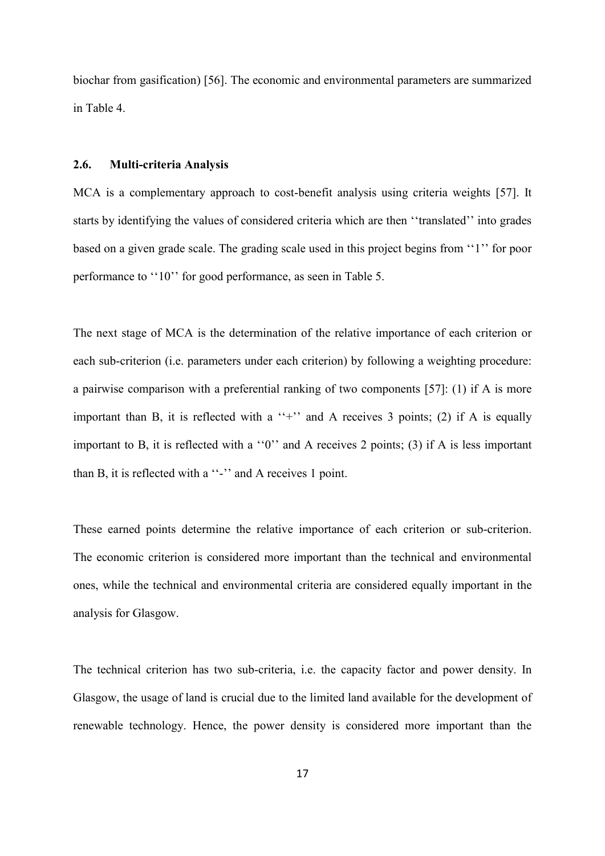biochar from gasification) [56]. The economic and environmental parameters are summarized in Table 4.

## **2.6. Multi-criteria Analysis**

MCA is a complementary approach to cost-benefit analysis using criteria weights [57]. It starts by identifying the values of considered criteria which are then ''translated'' into grades based on a given grade scale. The grading scale used in this project begins from ''1'' for poor performance to ''10'' for good performance, as seen in Table 5.

The next stage of MCA is the determination of the relative importance of each criterion or each sub-criterion (i.e. parameters under each criterion) by following a weighting procedure: a pairwise comparison with a preferential ranking of two components [57]: (1) if A is more important than B, it is reflected with a  $'$ +'' and A receives 3 points; (2) if A is equally important to B, it is reflected with a ''0'' and A receives 2 points; (3) if A is less important than B, it is reflected with a ''-'' and A receives 1 point.

These earned points determine the relative importance of each criterion or sub-criterion. The economic criterion is considered more important than the technical and environmental ones, while the technical and environmental criteria are considered equally important in the analysis for Glasgow.

The technical criterion has two sub-criteria, i.e. the capacity factor and power density. In Glasgow, the usage of land is crucial due to the limited land available for the development of renewable technology. Hence, the power density is considered more important than the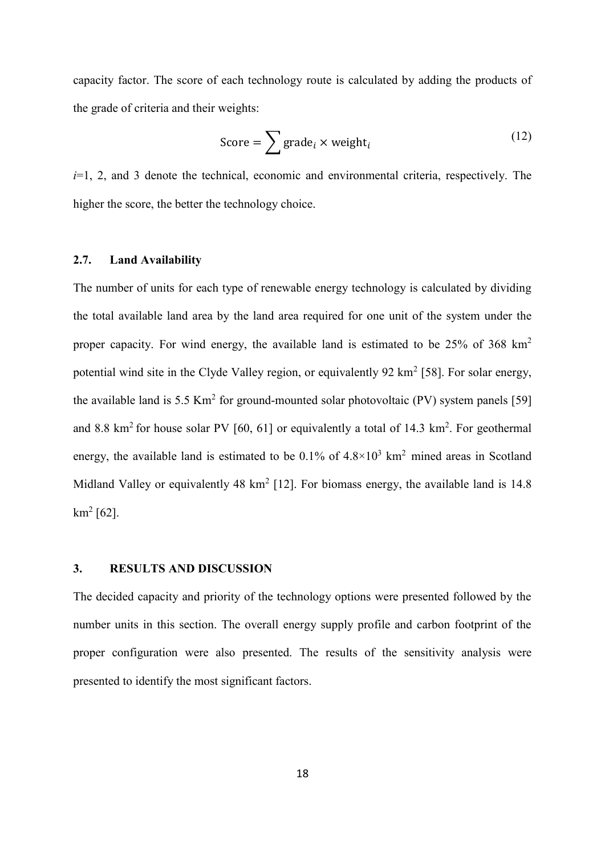capacity factor. The score of each technology route is calculated by adding the products of the grade of criteria and their weights:

$$
Score = \sum \text{grade}_i \times \text{weight}_i \tag{12}
$$

*i*=1, 2, and 3 denote the technical, economic and environmental criteria, respectively. The higher the score, the better the technology choice.

#### **2.7. Land Availability**

The number of units for each type of renewable energy technology is calculated by dividing the total available land area by the land area required for one unit of the system under the proper capacity. For wind energy, the available land is estimated to be 25% of 368 km<sup>2</sup> potential wind site in the Clyde Valley region, or equivalently 92  $\text{km}^2$  [58]. For solar energy, the available land is 5.5 Km<sup>2</sup> for ground-mounted solar photovoltaic (PV) system panels [59] and 8.8 km<sup>2</sup> for house solar PV [60, 61] or equivalently a total of 14.3 km<sup>2</sup>. For geothermal energy, the available land is estimated to be  $0.1\%$  of  $4.8\times10^3$  km<sup>2</sup> mined areas in Scotland Midland Valley or equivalently 48 km<sup>2</sup> [12]. For biomass energy, the available land is  $14.8$  $km^2$  [62].

#### **3. RESULTS AND DISCUSSION**

The decided capacity and priority of the technology options were presented followed by the number units in this section. The overall energy supply profile and carbon footprint of the proper configuration were also presented. The results of the sensitivity analysis were presented to identify the most significant factors.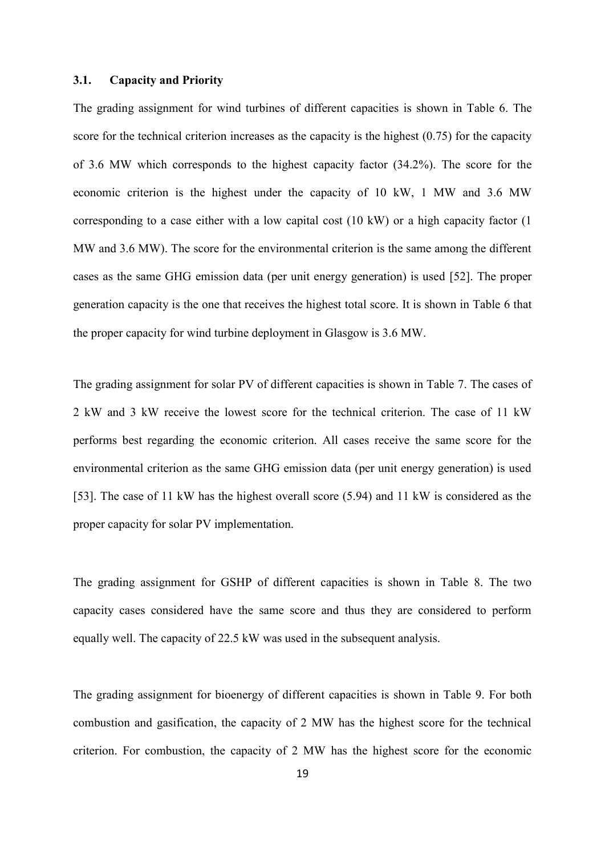#### **3.1. Capacity and Priority**

The grading assignment for wind turbines of different capacities is shown in Table 6. The score for the technical criterion increases as the capacity is the highest (0.75) for the capacity of 3.6 MW which corresponds to the highest capacity factor (34.2%). The score for the economic criterion is the highest under the capacity of 10 kW, 1 MW and 3.6 MW corresponding to a case either with a low capital cost (10 kW) or a high capacity factor (1 MW and 3.6 MW). The score for the environmental criterion is the same among the different cases as the same GHG emission data (per unit energy generation) is used [52]. The proper generation capacity is the one that receives the highest total score. It is shown in Table 6 that the proper capacity for wind turbine deployment in Glasgow is 3.6 MW.

The grading assignment for solar PV of different capacities is shown in Table 7. The cases of 2 kW and 3 kW receive the lowest score for the technical criterion. The case of 11 kW performs best regarding the economic criterion. All cases receive the same score for the environmental criterion as the same GHG emission data (per unit energy generation) is used [53]. The case of 11 kW has the highest overall score (5.94) and 11 kW is considered as the proper capacity for solar PV implementation.

The grading assignment for GSHP of different capacities is shown in Table 8. The two capacity cases considered have the same score and thus they are considered to perform equally well. The capacity of 22.5 kW was used in the subsequent analysis.

The grading assignment for bioenergy of different capacities is shown in Table 9. For both combustion and gasification, the capacity of 2 MW has the highest score for the technical criterion. For combustion, the capacity of 2 MW has the highest score for the economic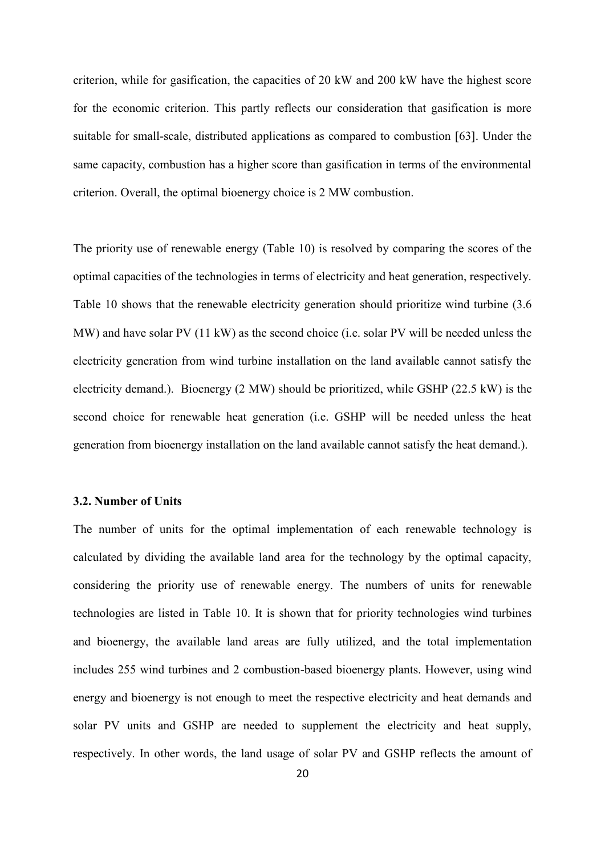criterion, while for gasification, the capacities of 20 kW and 200 kW have the highest score for the economic criterion. This partly reflects our consideration that gasification is more suitable for small-scale, distributed applications as compared to combustion [63]. Under the same capacity, combustion has a higher score than gasification in terms of the environmental criterion. Overall, the optimal bioenergy choice is 2 MW combustion.

The priority use of renewable energy (Table 10) is resolved by comparing the scores of the optimal capacities of the technologies in terms of electricity and heat generation, respectively. Table 10 shows that the renewable electricity generation should prioritize wind turbine (3.6 MW) and have solar PV (11 kW) as the second choice (i.e. solar PV will be needed unless the electricity generation from wind turbine installation on the land available cannot satisfy the electricity demand.). Bioenergy (2 MW) should be prioritized, while GSHP (22.5 kW) is the second choice for renewable heat generation (i.e. GSHP will be needed unless the heat generation from bioenergy installation on the land available cannot satisfy the heat demand.).

#### **3.2. Number of Units**

The number of units for the optimal implementation of each renewable technology is calculated by dividing the available land area for the technology by the optimal capacity, considering the priority use of renewable energy. The numbers of units for renewable technologies are listed in Table 10. It is shown that for priority technologies wind turbines and bioenergy, the available land areas are fully utilized, and the total implementation includes 255 wind turbines and 2 combustion-based bioenergy plants. However, using wind energy and bioenergy is not enough to meet the respective electricity and heat demands and solar PV units and GSHP are needed to supplement the electricity and heat supply, respectively. In other words, the land usage of solar PV and GSHP reflects the amount of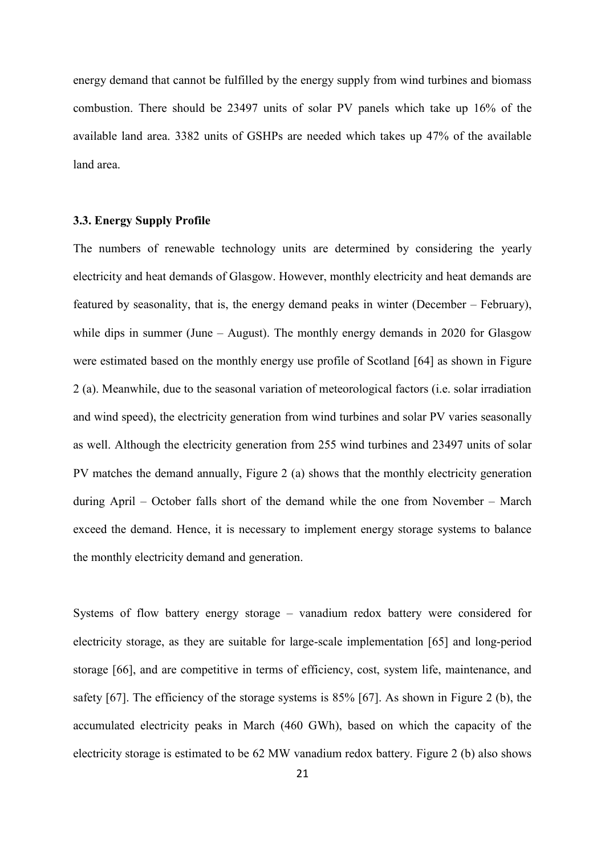energy demand that cannot be fulfilled by the energy supply from wind turbines and biomass combustion. There should be 23497 units of solar PV panels which take up 16% of the available land area. 3382 units of GSHPs are needed which takes up 47% of the available land area.

## **3.3. Energy Supply Profile**

The numbers of renewable technology units are determined by considering the yearly electricity and heat demands of Glasgow. However, monthly electricity and heat demands are featured by seasonality, that is, the energy demand peaks in winter (December – February), while dips in summer (June – August). The monthly energy demands in 2020 for Glasgow were estimated based on the monthly energy use profile of Scotland [64] as shown in Figure 2 (a). Meanwhile, due to the seasonal variation of meteorological factors (i.e. solar irradiation and wind speed), the electricity generation from wind turbines and solar PV varies seasonally as well. Although the electricity generation from 255 wind turbines and 23497 units of solar PV matches the demand annually, Figure 2 (a) shows that the monthly electricity generation during April – October falls short of the demand while the one from November – March exceed the demand. Hence, it is necessary to implement energy storage systems to balance the monthly electricity demand and generation.

Systems of flow battery energy storage – vanadium redox battery were considered for electricity storage, as they are suitable for large-scale implementation [65] and long-period storage [66], and are competitive in terms of efficiency, cost, system life, maintenance, and safety [67]. The efficiency of the storage systems is 85% [67]. As shown in Figure 2 (b), the accumulated electricity peaks in March (460 GWh), based on which the capacity of the electricity storage is estimated to be 62 MW vanadium redox battery. Figure 2 (b) also shows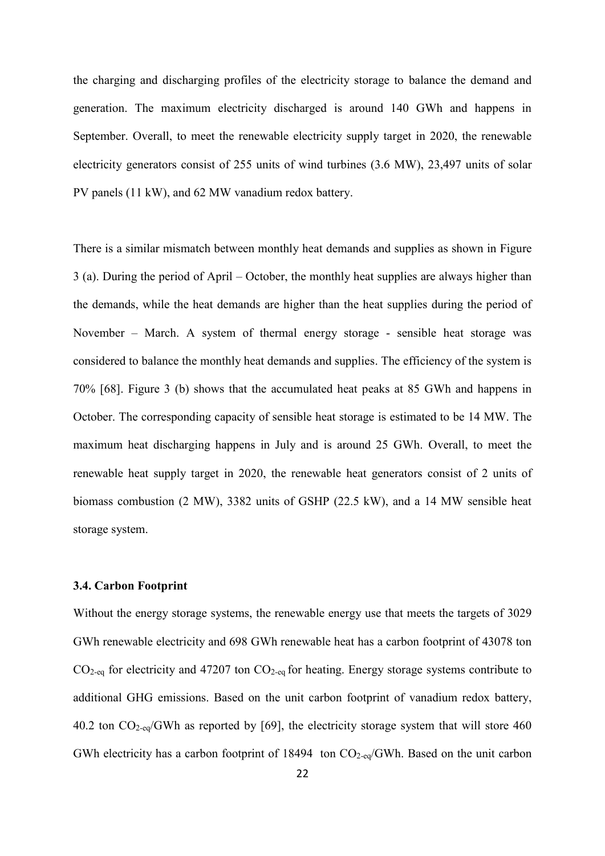the charging and discharging profiles of the electricity storage to balance the demand and generation. The maximum electricity discharged is around 140 GWh and happens in September. Overall, to meet the renewable electricity supply target in 2020, the renewable electricity generators consist of 255 units of wind turbines (3.6 MW), 23,497 units of solar PV panels (11 kW), and 62 MW vanadium redox battery.

There is a similar mismatch between monthly heat demands and supplies as shown in Figure 3 (a). During the period of April – October, the monthly heat supplies are always higher than the demands, while the heat demands are higher than the heat supplies during the period of November – March. A system of thermal energy storage - sensible heat storage was considered to balance the monthly heat demands and supplies. The efficiency of the system is 70% [68]. Figure 3 (b) shows that the accumulated heat peaks at 85 GWh and happens in October. The corresponding capacity of sensible heat storage is estimated to be 14 MW. The maximum heat discharging happens in July and is around 25 GWh. Overall, to meet the renewable heat supply target in 2020, the renewable heat generators consist of 2 units of biomass combustion (2 MW), 3382 units of GSHP (22.5 kW), and a 14 MW sensible heat storage system.

## **3.4. Carbon Footprint**

Without the energy storage systems, the renewable energy use that meets the targets of 3029 GWh renewable electricity and 698 GWh renewable heat has a carbon footprint of 43078 ton  $CO<sub>2-eq</sub>$  for electricity and 47207 ton  $CO<sub>2-eq</sub>$  for heating. Energy storage systems contribute to additional GHG emissions. Based on the unit carbon footprint of vanadium redox battery, 40.2 ton CO2-eq/GWh as reported by [69], the electricity storage system that will store 460 GWh electricity has a carbon footprint of 18494 ton  $CO_{2-eq}/GWh$ . Based on the unit carbon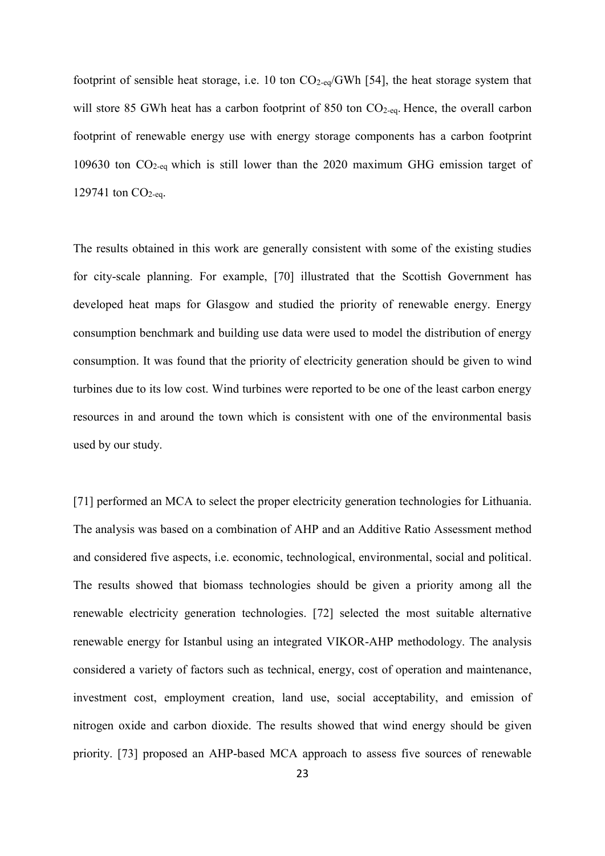footprint of sensible heat storage, i.e. 10 ton  $CO_{2-eq}/GWh$  [54], the heat storage system that will store 85 GWh heat has a carbon footprint of 850 ton CO<sub>2-eq</sub>. Hence, the overall carbon footprint of renewable energy use with energy storage components has a carbon footprint 109630 ton CO2-eq which is still lower than the 2020 maximum GHG emission target of 129741 ton  $CO<sub>2-eq</sub>$ .

The results obtained in this work are generally consistent with some of the existing studies for city-scale planning. For example, [70] illustrated that the Scottish Government has developed heat maps for Glasgow and studied the priority of renewable energy. Energy consumption benchmark and building use data were used to model the distribution of energy consumption. It was found that the priority of electricity generation should be given to wind turbines due to its low cost. Wind turbines were reported to be one of the least carbon energy resources in and around the town which is consistent with one of the environmental basis used by our study.

[71] performed an MCA to select the proper electricity generation technologies for Lithuania. The analysis was based on a combination of AHP and an Additive Ratio Assessment method and considered five aspects, i.e. economic, technological, environmental, social and political. The results showed that biomass technologies should be given a priority among all the renewable electricity generation technologies. [72] selected the most suitable alternative renewable energy for Istanbul using an integrated VIKOR-AHP methodology. The analysis considered a variety of factors such as technical, energy, cost of operation and maintenance, investment cost, employment creation, land use, social acceptability, and emission of nitrogen oxide and carbon dioxide. The results showed that wind energy should be given priority. [73] proposed an AHP-based MCA approach to assess five sources of renewable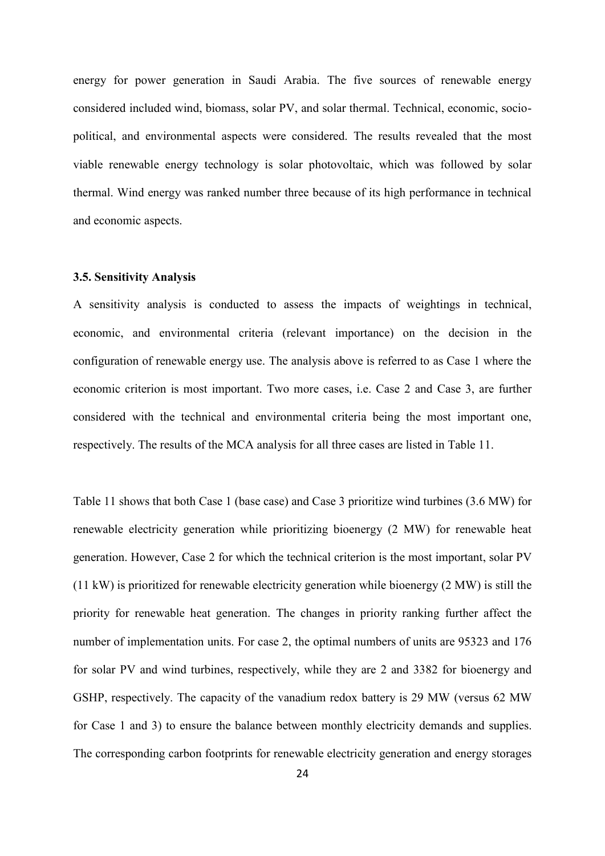energy for power generation in Saudi Arabia. The five sources of renewable energy considered included wind, biomass, solar PV, and solar thermal. Technical, economic, sociopolitical, and environmental aspects were considered. The results revealed that the most viable renewable energy technology is solar photovoltaic, which was followed by solar thermal. Wind energy was ranked number three because of its high performance in technical and economic aspects.

#### **3.5. Sensitivity Analysis**

A sensitivity analysis is conducted to assess the impacts of weightings in technical, economic, and environmental criteria (relevant importance) on the decision in the configuration of renewable energy use. The analysis above is referred to as Case 1 where the economic criterion is most important. Two more cases, i.e. Case 2 and Case 3, are further considered with the technical and environmental criteria being the most important one, respectively. The results of the MCA analysis for all three cases are listed in Table 11.

Table 11 shows that both Case 1 (base case) and Case 3 prioritize wind turbines (3.6 MW) for renewable electricity generation while prioritizing bioenergy (2 MW) for renewable heat generation. However, Case 2 for which the technical criterion is the most important, solar PV (11 kW) is prioritized for renewable electricity generation while bioenergy (2 MW) is still the priority for renewable heat generation. The changes in priority ranking further affect the number of implementation units. For case 2, the optimal numbers of units are 95323 and 176 for solar PV and wind turbines, respectively, while they are 2 and 3382 for bioenergy and GSHP, respectively. The capacity of the vanadium redox battery is 29 MW (versus 62 MW for Case 1 and 3) to ensure the balance between monthly electricity demands and supplies. The corresponding carbon footprints for renewable electricity generation and energy storages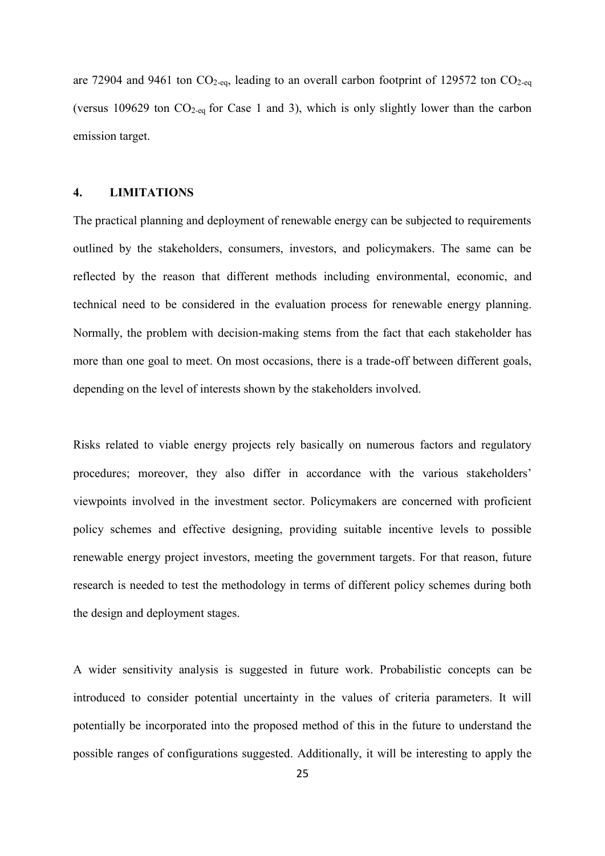are 72904 and 9461 ton  $CO_{2-\text{eq}}$ , leading to an overall carbon footprint of 129572 ton  $CO_{2-\text{eq}}$ (versus 109629 ton  $CO_{2-eq}$  for Case 1 and 3), which is only slightly lower than the carbon emission target.

#### **4. LIMITATIONS**

The practical planning and deployment of renewable energy can be subjected to requirements outlined by the stakeholders, consumers, investors, and policymakers. The same can be reflected by the reason that different methods including environmental, economic, and technical need to be considered in the evaluation process for renewable energy planning. Normally, the problem with decision-making stems from the fact that each stakeholder has more than one goal to meet. On most occasions, there is a trade-off between different goals, depending on the level of interests shown by the stakeholders involved.

Risks related to viable energy projects rely basically on numerous factors and regulatory procedures; moreover, they also differ in accordance with the various stakeholders' viewpoints involved in the investment sector. Policymakers are concerned with proficient policy schemes and effective designing, providing suitable incentive levels to possible renewable energy project investors, meeting the government targets. For that reason, future research is needed to test the methodology in terms of different policy schemes during both the design and deployment stages.

A wider sensitivity analysis is suggested in future work. Probabilistic concepts can be introduced to consider potential uncertainty in the values of criteria parameters. It will potentially be incorporated into the proposed method of this in the future to understand the possible ranges of configurations suggested. Additionally, it will be interesting to apply the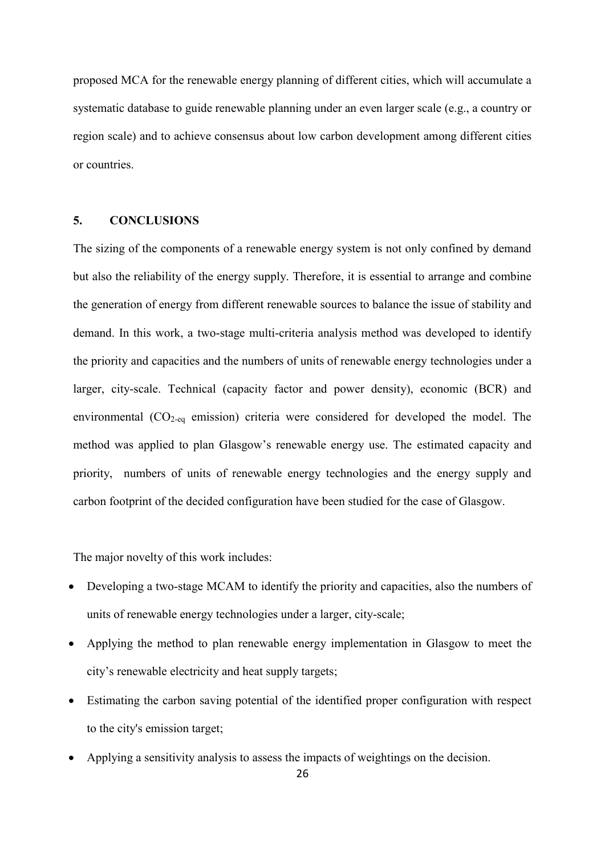proposed MCA for the renewable energy planning of different cities, which will accumulate a systematic database to guide renewable planning under an even larger scale (e.g., a country or region scale) and to achieve consensus about low carbon development among different cities or countries.

## **5. CONCLUSIONS**

The sizing of the components of a renewable energy system is not only confined by demand but also the reliability of the energy supply. Therefore, it is essential to arrange and combine the generation of energy from different renewable sources to balance the issue of stability and demand. In this work, a two-stage multi-criteria analysis method was developed to identify the priority and capacities and the numbers of units of renewable energy technologies under a larger, city-scale. Technical (capacity factor and power density), economic (BCR) and environmental (CO2-eq emission) criteria were considered for developed the model. The method was applied to plan Glasgow's renewable energy use. The estimated capacity and priority, numbers of units of renewable energy technologies and the energy supply and carbon footprint of the decided configuration have been studied for the case of Glasgow.

The major novelty of this work includes:

- Developing a two-stage MCAM to identify the priority and capacities, also the numbers of units of renewable energy technologies under a larger, city-scale;
- Applying the method to plan renewable energy implementation in Glasgow to meet the city's renewable electricity and heat supply targets;
- Estimating the carbon saving potential of the identified proper configuration with respect to the city's emission target;
- Applying a sensitivity analysis to assess the impacts of weightings on the decision.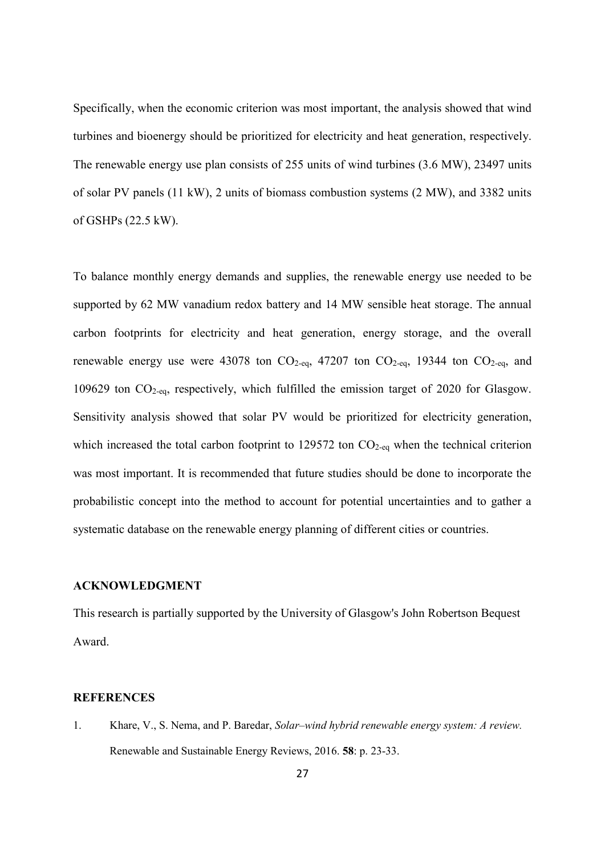Specifically, when the economic criterion was most important, the analysis showed that wind turbines and bioenergy should be prioritized for electricity and heat generation, respectively. The renewable energy use plan consists of 255 units of wind turbines (3.6 MW), 23497 units of solar PV panels (11 kW), 2 units of biomass combustion systems (2 MW), and 3382 units of GSHPs (22.5 kW).

To balance monthly energy demands and supplies, the renewable energy use needed to be supported by 62 MW vanadium redox battery and 14 MW sensible heat storage. The annual carbon footprints for electricity and heat generation, energy storage, and the overall renewable energy use were 43078 ton  $CO<sub>2-eq</sub>$ , 47207 ton  $CO<sub>2-eq</sub>$ , 19344 ton  $CO<sub>2-eq</sub>$ , and 109629 ton CO2-eq, respectively, which fulfilled the emission target of 2020 for Glasgow. Sensitivity analysis showed that solar PV would be prioritized for electricity generation, which increased the total carbon footprint to 129572 ton  $CO<sub>2</sub>$ -eq when the technical criterion was most important. It is recommended that future studies should be done to incorporate the probabilistic concept into the method to account for potential uncertainties and to gather a systematic database on the renewable energy planning of different cities or countries.

### **ACKNOWLEDGMENT**

This research is partially supported by the University of Glasgow's John Robertson Bequest Award.

#### **REFERENCES**

1. Khare, V., S. Nema, and P. Baredar, *Solar–wind hybrid renewable energy system: A review.* Renewable and Sustainable Energy Reviews, 2016. **58**: p. 23-33.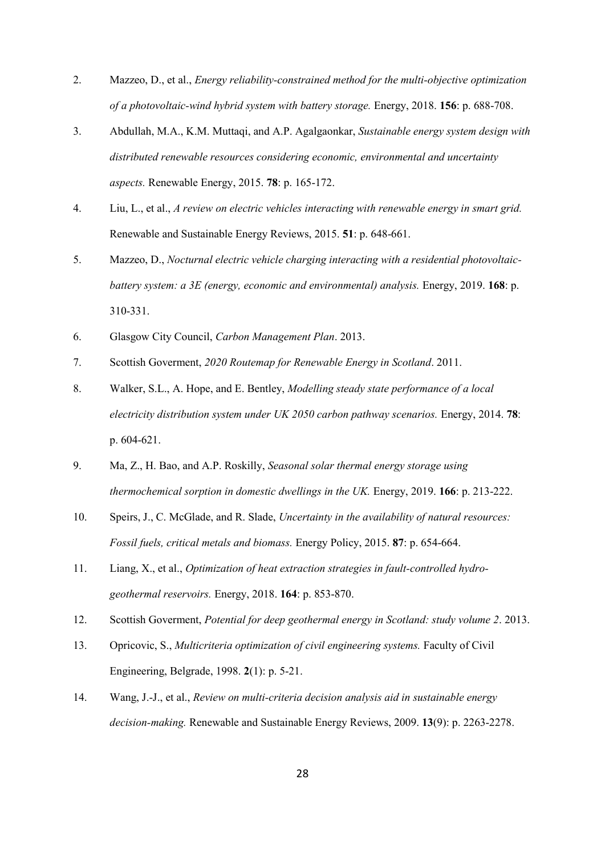- 2. Mazzeo, D., et al., *Energy reliability-constrained method for the multi-objective optimization of a photovoltaic-wind hybrid system with battery storage.* Energy, 2018. **156**: p. 688-708.
- 3. Abdullah, M.A., K.M. Muttaqi, and A.P. Agalgaonkar, *Sustainable energy system design with distributed renewable resources considering economic, environmental and uncertainty aspects.* Renewable Energy, 2015. **78**: p. 165-172.
- 4. Liu, L., et al., *A review on electric vehicles interacting with renewable energy in smart grid.* Renewable and Sustainable Energy Reviews, 2015. **51**: p. 648-661.
- 5. Mazzeo, D., *Nocturnal electric vehicle charging interacting with a residential photovoltaicbattery system: a 3E (energy, economic and environmental) analysis.* Energy, 2019. **168**: p. 310-331.
- 6. Glasgow City Council, *Carbon Management Plan*. 2013.
- 7. Scottish Goverment, *2020 Routemap for Renewable Energy in Scotland*. 2011.
- 8. Walker, S.L., A. Hope, and E. Bentley, *Modelling steady state performance of a local electricity distribution system under UK 2050 carbon pathway scenarios.* Energy, 2014. **78**: p. 604-621.
- 9. Ma, Z., H. Bao, and A.P. Roskilly, *Seasonal solar thermal energy storage using thermochemical sorption in domestic dwellings in the UK.* Energy, 2019. **166**: p. 213-222.
- 10. Speirs, J., C. McGlade, and R. Slade, *Uncertainty in the availability of natural resources: Fossil fuels, critical metals and biomass.* Energy Policy, 2015. **87**: p. 654-664.
- 11. Liang, X., et al., *Optimization of heat extraction strategies in fault-controlled hydrogeothermal reservoirs.* Energy, 2018. **164**: p. 853-870.
- 12. Scottish Goverment, *Potential for deep geothermal energy in Scotland: study volume 2*. 2013.
- 13. Opricovic, S., *Multicriteria optimization of civil engineering systems.* Faculty of Civil Engineering, Belgrade, 1998. **2**(1): p. 5-21.
- 14. Wang, J.-J., et al., *Review on multi-criteria decision analysis aid in sustainable energy decision-making.* Renewable and Sustainable Energy Reviews, 2009. **13**(9): p. 2263-2278.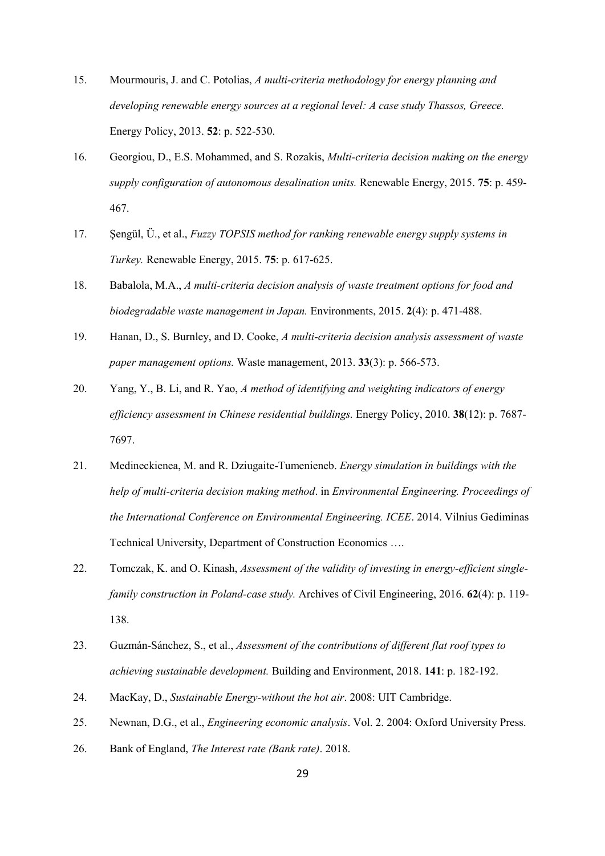- 15. Mourmouris, J. and C. Potolias, *A multi-criteria methodology for energy planning and developing renewable energy sources at a regional level: A case study Thassos, Greece.* Energy Policy, 2013. **52**: p. 522-530.
- 16. Georgiou, D., E.S. Mohammed, and S. Rozakis, *Multi-criteria decision making on the energy supply configuration of autonomous desalination units.* Renewable Energy, 2015. **75**: p. 459- 467.
- 17. Şengül, Ü., et al., *Fuzzy TOPSIS method for ranking renewable energy supply systems in Turkey.* Renewable Energy, 2015. **75**: p. 617-625.
- 18. Babalola, M.A., *A multi-criteria decision analysis of waste treatment options for food and biodegradable waste management in Japan.* Environments, 2015. **2**(4): p. 471-488.
- 19. Hanan, D., S. Burnley, and D. Cooke, *A multi-criteria decision analysis assessment of waste paper management options.* Waste management, 2013. **33**(3): p. 566-573.
- 20. Yang, Y., B. Li, and R. Yao, *A method of identifying and weighting indicators of energy efficiency assessment in Chinese residential buildings.* Energy Policy, 2010. **38**(12): p. 7687- 7697.
- 21. Medineckienea, M. and R. Dziugaite-Tumenieneb. *Energy simulation in buildings with the help of multi-criteria decision making method*. in *Environmental Engineering. Proceedings of the International Conference on Environmental Engineering. ICEE*. 2014. Vilnius Gediminas Technical University, Department of Construction Economics ….
- 22. Tomczak, K. and O. Kinash, *Assessment of the validity of investing in energy-efficient singlefamily construction in Poland-case study.* Archives of Civil Engineering, 2016. **62**(4): p. 119- 138.
- 23. Guzmán-Sánchez, S., et al., *Assessment of the contributions of different flat roof types to achieving sustainable development.* Building and Environment, 2018. **141**: p. 182-192.
- 24. MacKay, D., *Sustainable Energy-without the hot air*. 2008: UIT Cambridge.
- 25. Newnan, D.G., et al., *Engineering economic analysis*. Vol. 2. 2004: Oxford University Press.
- 26. Bank of England, *The Interest rate (Bank rate)*. 2018.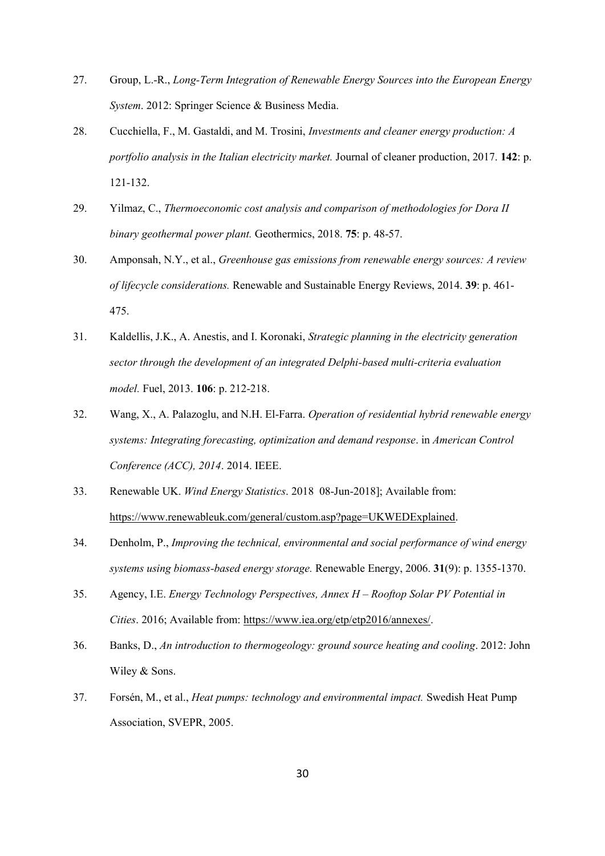- 27. Group, L.-R., *Long-Term Integration of Renewable Energy Sources into the European Energy System*. 2012: Springer Science & Business Media.
- 28. Cucchiella, F., M. Gastaldi, and M. Trosini, *Investments and cleaner energy production: A portfolio analysis in the Italian electricity market.* Journal of cleaner production, 2017. **142**: p. 121-132.
- 29. Yilmaz, C., *Thermoeconomic cost analysis and comparison of methodologies for Dora II binary geothermal power plant.* Geothermics, 2018. **75**: p. 48-57.
- 30. Amponsah, N.Y., et al., *Greenhouse gas emissions from renewable energy sources: A review of lifecycle considerations.* Renewable and Sustainable Energy Reviews, 2014. **39**: p. 461- 475.
- 31. Kaldellis, J.K., A. Anestis, and I. Koronaki, *Strategic planning in the electricity generation sector through the development of an integrated Delphi-based multi-criteria evaluation model.* Fuel, 2013. **106**: p. 212-218.
- 32. Wang, X., A. Palazoglu, and N.H. El-Farra. *Operation of residential hybrid renewable energy systems: Integrating forecasting, optimization and demand response*. in *American Control Conference (ACC), 2014*. 2014. IEEE.
- 33. Renewable UK. *Wind Energy Statistics*. 2018 08-Jun-2018]; Available from: [https://www.renewableuk.com/general/custom.asp?page=UKWEDExplained.](https://www.renewableuk.com/general/custom.asp?page=UKWEDExplained)
- 34. Denholm, P., *Improving the technical, environmental and social performance of wind energy systems using biomass-based energy storage.* Renewable Energy, 2006. **31**(9): p. 1355-1370.
- 35. Agency, I.E. *Energy Technology Perspectives, Annex H – Rooftop Solar PV Potential in Cities*. 2016; Available from: [https://www.iea.org/etp/etp2016/annexes/.](https://www.iea.org/etp/etp2016/annexes/)
- 36. Banks, D., *An introduction to thermogeology: ground source heating and cooling*. 2012: John Wiley & Sons.
- 37. Forsén, M., et al., *Heat pumps: technology and environmental impact.* Swedish Heat Pump Association, SVEPR, 2005.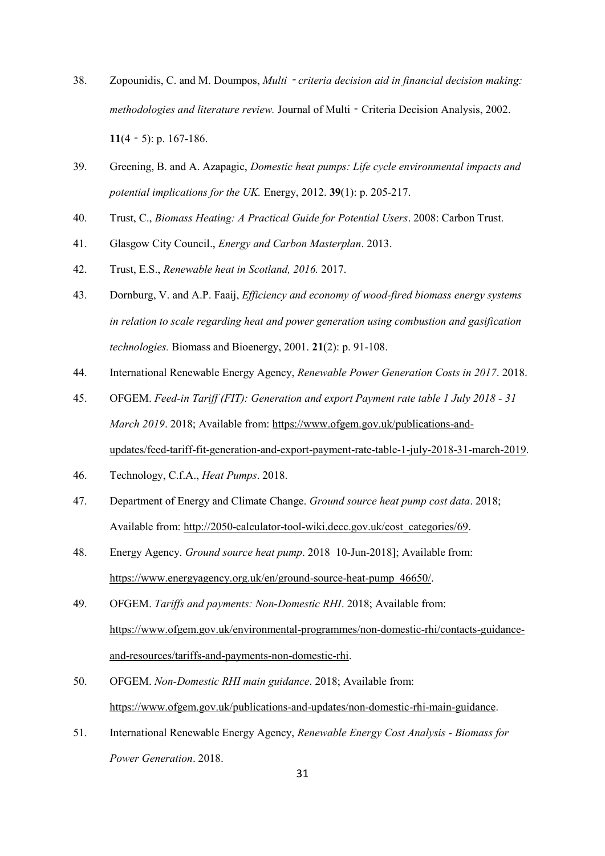- 38. Zopounidis, C. and M. Doumpos, *Multi*‐*criteria decision aid in financial decision making: methodologies and literature review.* Journal of Multi‐Criteria Decision Analysis, 2002. **11**(4‐5): p. 167-186.
- 39. Greening, B. and A. Azapagic, *Domestic heat pumps: Life cycle environmental impacts and potential implications for the UK.* Energy, 2012. **39**(1): p. 205-217.
- 40. Trust, C., *Biomass Heating: A Practical Guide for Potential Users*. 2008: Carbon Trust.
- 41. Glasgow City Council., *Energy and Carbon Masterplan*. 2013.
- 42. Trust, E.S., *Renewable heat in Scotland, 2016.* 2017.
- 43. Dornburg, V. and A.P. Faaij, *Efficiency and economy of wood-fired biomass energy systems in relation to scale regarding heat and power generation using combustion and gasification technologies.* Biomass and Bioenergy, 2001. **21**(2): p. 91-108.
- 44. International Renewable Energy Agency, *Renewable Power Generation Costs in 2017*. 2018.
- 45. OFGEM. *Feed-in Tariff (FIT): Generation and export Payment rate table 1 July 2018 - 31 March 2019*. 2018; Available from: [https://www.ofgem.gov.uk/publications-and](https://www.ofgem.gov.uk/publications-and-updates/feed-tariff-fit-generation-and-export-payment-rate-table-1-july-2018-31-march-2019)[updates/feed-tariff-fit-generation-and-export-payment-rate-table-1-july-2018-31-march-2019.](https://www.ofgem.gov.uk/publications-and-updates/feed-tariff-fit-generation-and-export-payment-rate-table-1-july-2018-31-march-2019)
- 46. Technology, C.f.A., *Heat Pumps*. 2018.
- 47. Department of Energy and Climate Change. *Ground source heat pump cost data*. 2018; Available from: [http://2050-calculator-tool-wiki.decc.gov.uk/cost\\_categories/69.](http://2050-calculator-tool-wiki.decc.gov.uk/cost_categories/69)
- 48. Energy Agency. *Ground source heat pump*. 2018 10-Jun-2018]; Available from: [https://www.energyagency.org.uk/en/ground-source-heat-pump\\_46650/.](https://www.energyagency.org.uk/en/ground-source-heat-pump_46650/)
- 49. OFGEM. *Tariffs and payments: Non-Domestic RHI*. 2018; Available from: [https://www.ofgem.gov.uk/environmental-programmes/non-domestic-rhi/contacts-guidance](https://www.ofgem.gov.uk/environmental-programmes/non-domestic-rhi/contacts-guidance-and-resources/tariffs-and-payments-non-domestic-rhi)[and-resources/tariffs-and-payments-non-domestic-rhi.](https://www.ofgem.gov.uk/environmental-programmes/non-domestic-rhi/contacts-guidance-and-resources/tariffs-and-payments-non-domestic-rhi)
- 50. OFGEM. *Non-Domestic RHI main guidance*. 2018; Available from: [https://www.ofgem.gov.uk/publications-and-updates/non-domestic-rhi-main-guidance.](https://www.ofgem.gov.uk/publications-and-updates/non-domestic-rhi-main-guidance)
- 51. International Renewable Energy Agency, *Renewable Energy Cost Analysis - Biomass for Power Generation*. 2018.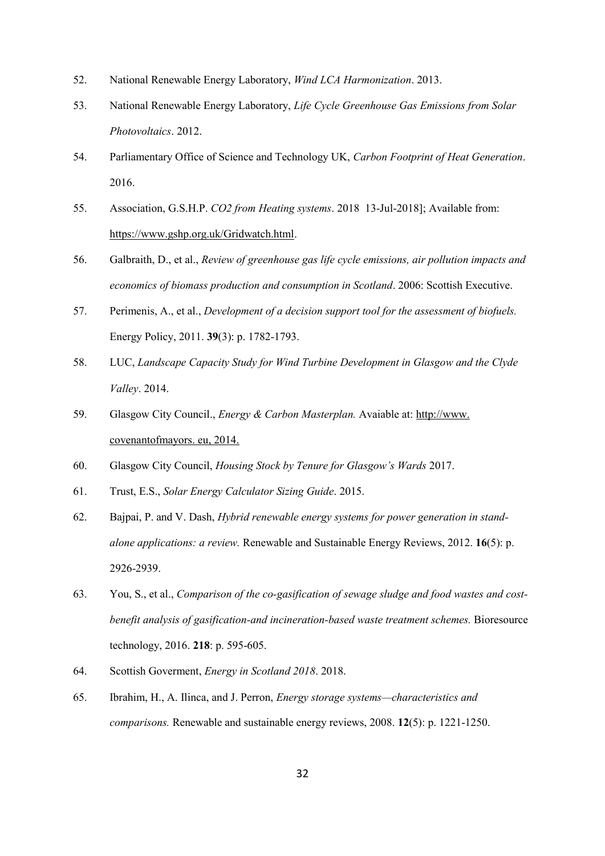- 52. National Renewable Energy Laboratory, *Wind LCA Harmonization*. 2013.
- 53. National Renewable Energy Laboratory, *Life Cycle Greenhouse Gas Emissions from Solar Photovoltaics*. 2012.
- 54. Parliamentary Office of Science and Technology UK, *Carbon Footprint of Heat Generation*. 2016.
- 55. Association, G.S.H.P. *CO2 from Heating systems*. 2018 13-Jul-2018]; Available from: [https://www.gshp.org.uk/Gridwatch.html.](https://www.gshp.org.uk/Gridwatch.html)
- 56. Galbraith, D., et al., *Review of greenhouse gas life cycle emissions, air pollution impacts and economics of biomass production and consumption in Scotland*. 2006: Scottish Executive.
- 57. Perimenis, A., et al., *Development of a decision support tool for the assessment of biofuels.* Energy Policy, 2011. **39**(3): p. 1782-1793.
- 58. LUC, *Landscape Capacity Study for Wind Turbine Development in Glasgow and the Clyde Valley*. 2014.
- 59. Glasgow City Council., *Energy & Carbon Masterplan.* Avaiable at: [http://www.](http://www/) covenantofmayors. eu, 2014.
- 60. Glasgow City Council, *Housing Stock by Tenure for Glasgow's Wards* 2017.
- 61. Trust, E.S., *Solar Energy Calculator Sizing Guide*. 2015.
- 62. Bajpai, P. and V. Dash, *Hybrid renewable energy systems for power generation in standalone applications: a review.* Renewable and Sustainable Energy Reviews, 2012. **16**(5): p. 2926-2939.
- 63. You, S., et al., *Comparison of the co-gasification of sewage sludge and food wastes and costbenefit analysis of gasification-and incineration-based waste treatment schemes.* Bioresource technology, 2016. **218**: p. 595-605.
- 64. Scottish Goverment, *Energy in Scotland 2018*. 2018.
- 65. Ibrahim, H., A. Ilinca, and J. Perron, *Energy storage systems—characteristics and comparisons.* Renewable and sustainable energy reviews, 2008. **12**(5): p. 1221-1250.